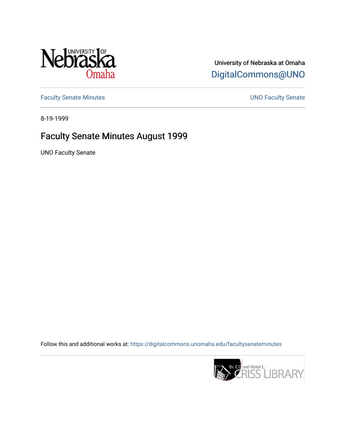

University of Nebraska at Omaha [DigitalCommons@UNO](https://digitalcommons.unomaha.edu/) 

[Faculty Senate Minutes](https://digitalcommons.unomaha.edu/facultysenateminutes) **Exercise Senate UNO Faculty Senate** 

8-19-1999

# Faculty Senate Minutes August 1999

UNO Faculty Senate

Follow this and additional works at: [https://digitalcommons.unomaha.edu/facultysenateminutes](https://digitalcommons.unomaha.edu/facultysenateminutes?utm_source=digitalcommons.unomaha.edu%2Ffacultysenateminutes%2F75&utm_medium=PDF&utm_campaign=PDFCoverPages) 

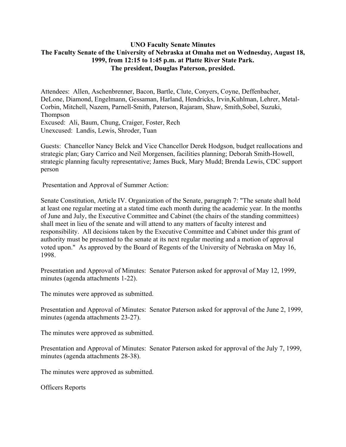## **UNO Faculty Senate Minutes The Faculty Senate of the University of Nebraska at Omaha met on Wednesday, August 18, 1999, from 12:15 to 1:45 p.m. at Platte River State Park. The president, Douglas Paterson, presided.**

Attendees: Allen, Aschenbrenner, Bacon, Bartle, Clute, Conyers, Coyne, Deffenbacher, DeLone, Diamond, Engelmann, Gessaman, Harland, Hendricks, Irvin,Kuhlman, Lehrer, Metal-Corbin, Mitchell, Nazem, Parnell-Smith, Paterson, Rajaram, Shaw, Smith,Sobel, Suzuki, Thompson Excused: Ali, Baum, Chung, Craiger, Foster, Rech Unexcused: Landis, Lewis, Shroder, Tuan

Guests: Chancellor Nancy Belck and Vice Chancellor Derek Hodgson, budget reallocations and strategic plan; Gary Carrico and Neil Morgensen, facilities planning; Deborah Smith-Howell, strategic planning faculty representative; James Buck, Mary Mudd; Brenda Lewis, CDC support person

Presentation and Approval of Summer Action:

Senate Constitution, Article IV. Organization of the Senate, paragraph 7: "The senate shall hold at least one regular meeting at a stated time each month during the academic year. In the months of June and July, the Executive Committee and Cabinet (the chairs of the standing committees) shall meet in lieu of the senate and will attend to any matters of faculty interest and responsibility. All decisions taken by the Executive Committee and Cabinet under this grant of authority must be presented to the senate at its next regular meeting and a motion of approval voted upon." As approved by the Board of Regents of the University of Nebraska on May 16, 1998.

Presentation and Approval of Minutes: Senator Paterson asked for approval of May 12, 1999, minutes (agenda attachments 1-22).

The minutes were approved as submitted.

Presentation and Approval of Minutes: Senator Paterson asked for approval of the June 2, 1999, minutes (agenda attachments 23-27).

The minutes were approved as submitted.

Presentation and Approval of Minutes: Senator Paterson asked for approval of the July 7, 1999, minutes (agenda attachments 28-38).

The minutes were approved as submitted.

Officers Reports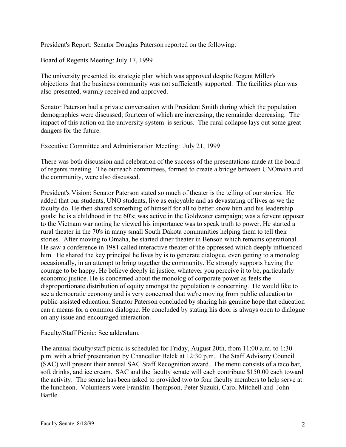President's Report: Senator Douglas Paterson reported on the following:

Board of Regents Meeting: July 17, 1999

The university presented its strategic plan which was approved despite Regent Miller's objections that the business community was not sufficiently supported. The facilities plan was also presented, warmly received and approved.

Senator Paterson had a private conversation with President Smith during which the population demographics were discussed; fourteen of which are increasing, the remainder decreasing. The impact of this action on the university system is serious. The rural collapse lays out some great dangers for the future.

Executive Committee and Administration Meeting: July 21, 1999

There was both discussion and celebration of the success of the presentations made at the board of regents meeting. The outreach committees, formed to create a bridge between UNOmaha and the community, were also discussed.

President's Vision: Senator Paterson stated so much of theater is the telling of our stories. He added that our students, UNO students, live as enjoyable and as devastating of lives as we the faculty do. He then shared something of himself for all to better know him and his leadership goals: he is a childhood in the 60's; was active in the Goldwater campaign; was a fervent opposer to the Vietnam war noting he viewed his importance was to speak truth to power. He started a rural theater in the 70's in many small South Dakota communities helping them to tell their stories. After moving to Omaha, he started diner theater in Benson which remains operational. He saw a conference in 1981 called interactive theater of the oppressed which deeply influenced him. He shared the key principal he lives by is to generate dialogue, even getting to a monolog occasionally, in an attempt to bring together the community. He strongly supports having the courage to be happy. He believe deeply in justice, whatever you perceive it to be, particularly economic justice. He is concerned about the monolog of corporate power as feels the disproportionate distribution of equity amongst the population is concerning. He would like to see a democratic economy and is very concerned that we're moving from public education to public assisted education. Senator Paterson concluded by sharing his genuine hope that education can a means for a common dialogue. He concluded by stating his door is always open to dialogue on any issue and encouraged interaction.

Faculty/Staff Picnic: See addendum.

The annual faculty/staff picnic is scheduled for Friday, August 20th, from 11:00 a.m. to 1:30 p.m. with a brief presentation by Chancellor Belck at 12:30 p.m. The Staff Advisory Council (SAC) will present their annual SAC Staff Recognition award. The menu consists of a taco bar, soft drinks, and ice cream. SAC and the faculty senate will each contribute \$150.00 each toward the activity. The senate has been asked to provided two to four faculty members to help serve at the luncheon. Volunteers were Franklin Thompson, Peter Suzuki, Carol Mitchell and John Bartle.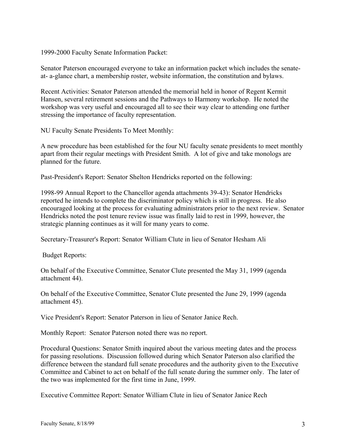1999-2000 Faculty Senate Information Packet:

Senator Paterson encouraged everyone to take an information packet which includes the senateat- a-glance chart, a membership roster, website information, the constitution and bylaws.

Recent Activities: Senator Paterson attended the memorial held in honor of Regent Kermit Hansen, several retirement sessions and the Pathways to Harmony workshop. He noted the workshop was very useful and encouraged all to see their way clear to attending one further stressing the importance of faculty representation.

NU Faculty Senate Presidents To Meet Monthly:

A new procedure has been established for the four NU faculty senate presidents to meet monthly apart from their regular meetings with President Smith. A lot of give and take monologs are planned for the future.

Past-President's Report: Senator Shelton Hendricks reported on the following:

1998-99 Annual Report to the Chancellor agenda attachments 39-43): Senator Hendricks reported he intends to complete the discriminator policy which is still in progress. He also encouraged looking at the process for evaluating administrators prior to the next review. Senator Hendricks noted the post tenure review issue was finally laid to rest in 1999, however, the strategic planning continues as it will for many years to come.

Secretary-Treasurer's Report: Senator William Clute in lieu of Senator Hesham Ali

Budget Reports:

On behalf of the Executive Committee, Senator Clute presented the May 31, 1999 (agenda attachment 44).

On behalf of the Executive Committee, Senator Clute presented the June 29, 1999 (agenda attachment 45).

Vice President's Report: Senator Paterson in lieu of Senator Janice Rech.

Monthly Report: Senator Paterson noted there was no report.

Procedural Questions: Senator Smith inquired about the various meeting dates and the process for passing resolutions. Discussion followed during which Senator Paterson also clarified the difference between the standard full senate procedures and the authority given to the Executive Committee and Cabinet to act on behalf of the full senate during the summer only. The later of the two was implemented for the first time in June, 1999.

Executive Committee Report: Senator William Clute in lieu of Senator Janice Rech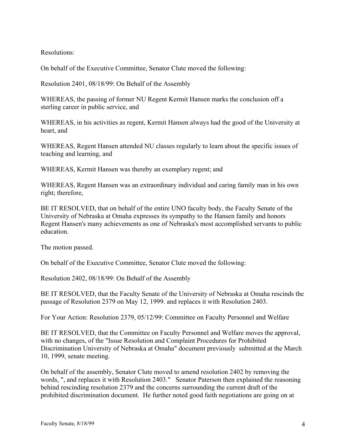Resolutions:

On behalf of the Executive Committee, Senator Clute moved the following:

Resolution 2401, 08/18/99: On Behalf of the Assembly

WHEREAS, the passing of former NU Regent Kermit Hansen marks the conclusion off a sterling career in public service, and

WHEREAS, in his activities as regent, Kermit Hansen always had the good of the University at heart, and

WHEREAS, Regent Hansen attended NU classes regularly to learn about the specific issues of teaching and learning, and

WHEREAS, Kermit Hansen was thereby an exemplary regent; and

WHEREAS, Regent Hansen was an extraordinary individual and caring family man in his own right; therefore,

BE IT RESOLVED, that on behalf of the entire UNO faculty body, the Faculty Senate of the University of Nebraska at Omaha expresses its sympathy to the Hansen family and honors Regent Hansen's many achievements as one of Nebraska's most accomplished servants to public education.

The motion passed.

On behalf of the Executive Committee, Senator Clute moved the following:

Resolution 2402, 08/18/99: On Behalf of the Assembly

BE IT RESOLVED, that the Faculty Senate of the University of Nebraska at Omaha rescinds the passage of Resolution 2379 on May 12, 1999. and replaces it with Resolution 2403.

For Your Action: Resolution 2379, 05/12/99: Committee on Faculty Personnel and Welfare

BE IT RESOLVED, that the Committee on Faculty Personnel and Welfare moves the approval, with no changes, of the "Issue Resolution and Complaint Procedures for Prohibited Discrimination University of Nebraska at Omaha" document previously submitted at the March 10, 1999, senate meeting.

On behalf of the assembly, Senator Clute moved to amend resolution 2402 by removing the words, ", and replaces it with Resolution 2403." Senator Paterson then explained the reasoning behind rescinding resolution 2379 and the concerns surrounding the current draft of the prohibited discrimination document. He further noted good faith negotiations are going on at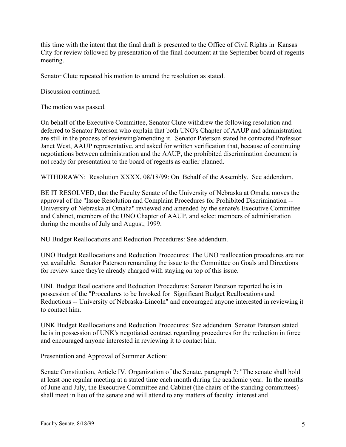this time with the intent that the final draft is presented to the Office of Civil Rights in Kansas City for review followed by presentation of the final document at the September board of regents meeting.

Senator Clute repeated his motion to amend the resolution as stated.

Discussion continued.

The motion was passed.

On behalf of the Executive Committee, Senator Clute withdrew the following resolution and deferred to Senator Paterson who explain that both UNO's Chapter of AAUP and administration are still in the process of reviewing/amending it. Senator Paterson stated he contacted Professor Janet West, AAUP representative, and asked for written verification that, because of continuing negotiations between administration and the AAUP, the prohibited discrimination document is not ready for presentation to the board of regents as earlier planned.

WITHDRAWN: Resolution XXXX, 08/18/99: On Behalf of the Assembly. See addendum.

BE IT RESOLVED, that the Faculty Senate of the University of Nebraska at Omaha moves the approval of the "Issue Resolution and Complaint Procedures for Prohibited Discrimination -- University of Nebraska at Omaha" reviewed and amended by the senate's Executive Committee and Cabinet, members of the UNO Chapter of AAUP, and select members of administration during the months of July and August, 1999.

NU Budget Reallocations and Reduction Procedures: See addendum.

UNO Budget Reallocations and Reduction Procedures: The UNO reallocation procedures are not yet available. Senator Paterson remanding the issue to the Committee on Goals and Directions for review since they're already charged with staying on top of this issue.

UNL Budget Reallocations and Reduction Procedures: Senator Paterson reported he is in possession of the "Procedures to be Invoked for Significant Budget Reallocations and Reductions -- University of Nebraska-Lincoln" and encouraged anyone interested in reviewing it to contact him.

UNK Budget Reallocations and Reduction Procedures: See addendum. Senator Paterson stated he is in possession of UNK's negotiated contract regarding procedures for the reduction in force and encouraged anyone interested in reviewing it to contact him.

Presentation and Approval of Summer Action:

Senate Constitution, Article IV. Organization of the Senate, paragraph 7: "The senate shall hold at least one regular meeting at a stated time each month during the academic year. In the months of June and July, the Executive Committee and Cabinet (the chairs of the standing committees) shall meet in lieu of the senate and will attend to any matters of faculty interest and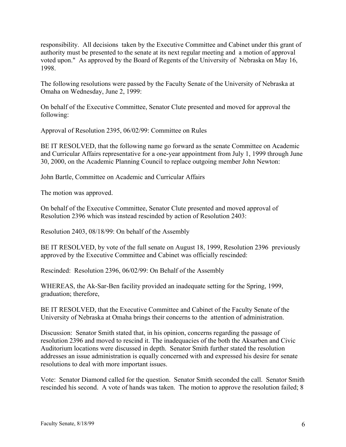responsibility. All decisions taken by the Executive Committee and Cabinet under this grant of authority must be presented to the senate at its next regular meeting and a motion of approval voted upon." As approved by the Board of Regents of the University of Nebraska on May 16, 1998.

The following resolutions were passed by the Faculty Senate of the University of Nebraska at Omaha on Wednesday, June 2, 1999:

On behalf of the Executive Committee, Senator Clute presented and moved for approval the following:

Approval of Resolution 2395, 06/02/99: Committee on Rules

BE IT RESOLVED, that the following name go forward as the senate Committee on Academic and Curricular Affairs representative for a one-year appointment from July 1, 1999 through June 30, 2000, on the Academic Planning Council to replace outgoing member John Newton:

John Bartle, Committee on Academic and Curricular Affairs

The motion was approved.

On behalf of the Executive Committee, Senator Clute presented and moved approval of Resolution 2396 which was instead rescinded by action of Resolution 2403:

Resolution 2403, 08/18/99: On behalf of the Assembly

BE IT RESOLVED, by vote of the full senate on August 18, 1999, Resolution 2396 previously approved by the Executive Committee and Cabinet was officially rescinded:

Rescinded: Resolution 2396, 06/02/99: On Behalf of the Assembly

WHEREAS, the Ak-Sar-Ben facility provided an inadequate setting for the Spring, 1999, graduation; therefore,

BE IT RESOLVED, that the Executive Committee and Cabinet of the Faculty Senate of the University of Nebraska at Omaha brings their concerns to the attention of administration.

Discussion: Senator Smith stated that, in his opinion, concerns regarding the passage of resolution 2396 and moved to rescind it. The inadequacies of the both the Aksarben and Civic Auditorium locations were discussed in depth. Senator Smith further stated the resolution addresses an issue administration is equally concerned with and expressed his desire for senate resolutions to deal with more important issues.

Vote: Senator Diamond called for the question. Senator Smith seconded the call. Senator Smith rescinded his second. A vote of hands was taken. The motion to approve the resolution failed; 8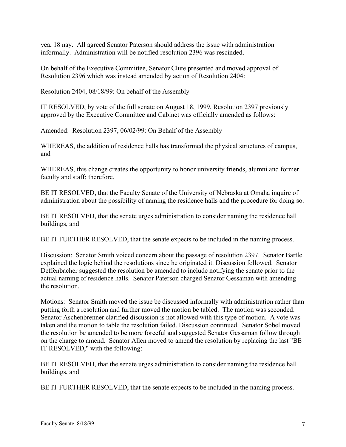yea, 18 nay. All agreed Senator Paterson should address the issue with administration informally. Administration will be notified resolution 2396 was rescinded.

On behalf of the Executive Committee, Senator Clute presented and moved approval of Resolution 2396 which was instead amended by action of Resolution 2404:

Resolution 2404, 08/18/99: On behalf of the Assembly

IT RESOLVED, by vote of the full senate on August 18, 1999, Resolution 2397 previously approved by the Executive Committee and Cabinet was officially amended as follows:

Amended: Resolution 2397, 06/02/99: On Behalf of the Assembly

WHEREAS, the addition of residence halls has transformed the physical structures of campus, and

WHEREAS, this change creates the opportunity to honor university friends, alumni and former faculty and staff; therefore,

BE IT RESOLVED, that the Faculty Senate of the University of Nebraska at Omaha inquire of administration about the possibility of naming the residence halls and the procedure for doing so.

BE IT RESOLVED, that the senate urges administration to consider naming the residence hall buildings, and

BE IT FURTHER RESOLVED, that the senate expects to be included in the naming process.

Discussion: Senator Smith voiced concern about the passage of resolution 2397. Senator Bartle explained the logic behind the resolutions since he originated it. Discussion followed. Senator Deffenbacher suggested the resolution be amended to include notifying the senate prior to the actual naming of residence halls. Senator Paterson charged Senator Gessaman with amending the resolution.

Motions: Senator Smith moved the issue be discussed informally with administration rather than putting forth a resolution and further moved the motion be tabled. The motion was seconded. Senator Aschenbrenner clarified discussion is not allowed with this type of motion. A vote was taken and the motion to table the resolution failed. Discussion continued. Senator Sobel moved the resolution be amended to be more forceful and suggested Senator Gessaman follow through on the charge to amend. Senator Allen moved to amend the resolution by replacing the last "BE IT RESOLVED," with the following:

BE IT RESOLVED, that the senate urges administration to consider naming the residence hall buildings, and

BE IT FURTHER RESOLVED, that the senate expects to be included in the naming process.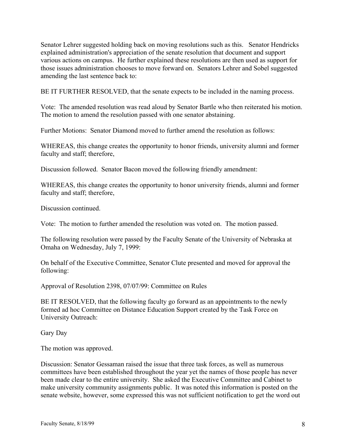Senator Lehrer suggested holding back on moving resolutions such as this. Senator Hendricks explained administration's appreciation of the senate resolution that document and support various actions on campus. He further explained these resolutions are then used as support for those issues administration chooses to move forward on. Senators Lehrer and Sobel suggested amending the last sentence back to:

BE IT FURTHER RESOLVED, that the senate expects to be included in the naming process.

Vote: The amended resolution was read aloud by Senator Bartle who then reiterated his motion. The motion to amend the resolution passed with one senator abstaining.

Further Motions: Senator Diamond moved to further amend the resolution as follows:

WHEREAS, this change creates the opportunity to honor friends, university alumni and former faculty and staff; therefore,

Discussion followed. Senator Bacon moved the following friendly amendment:

WHEREAS, this change creates the opportunity to honor university friends, alumni and former faculty and staff; therefore,

Discussion continued.

Vote: The motion to further amended the resolution was voted on. The motion passed.

The following resolution were passed by the Faculty Senate of the University of Nebraska at Omaha on Wednesday, July 7, 1999:

On behalf of the Executive Committee, Senator Clute presented and moved for approval the following:

Approval of Resolution 2398, 07/07/99: Committee on Rules

BE IT RESOLVED, that the following faculty go forward as an appointments to the newly formed ad hoc Committee on Distance Education Support created by the Task Force on University Outreach:

Gary Day

The motion was approved.

Discussion: Senator Gessaman raised the issue that three task forces, as well as numerous committees have been established throughout the year yet the names of those people has never been made clear to the entire university. She asked the Executive Committee and Cabinet to make university community assignments public. It was noted this information is posted on the senate website, however, some expressed this was not sufficient notification to get the word out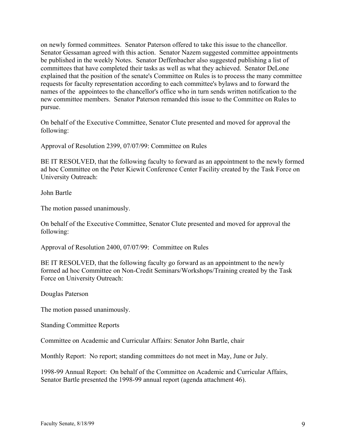on newly formed committees. Senator Paterson offered to take this issue to the chancellor. Senator Gessaman agreed with this action. Senator Nazem suggested committee appointments be published in the weekly Notes. Senator Deffenbacher also suggested publishing a list of committees that have completed their tasks as well as what they achieved. Senator DeLone explained that the position of the senate's Committee on Rules is to process the many committee requests for faculty representation according to each committee's bylaws and to forward the names of the appointees to the chancellor's office who in turn sends written notification to the new committee members. Senator Paterson remanded this issue to the Committee on Rules to pursue.

On behalf of the Executive Committee, Senator Clute presented and moved for approval the following:

Approval of Resolution 2399, 07/07/99: Committee on Rules

BE IT RESOLVED, that the following faculty to forward as an appointment to the newly formed ad hoc Committee on the Peter Kiewit Conference Center Facility created by the Task Force on University Outreach:

John Bartle

The motion passed unanimously.

On behalf of the Executive Committee, Senator Clute presented and moved for approval the following:

Approval of Resolution 2400, 07/07/99: Committee on Rules

BE IT RESOLVED, that the following faculty go forward as an appointment to the newly formed ad hoc Committee on Non-Credit Seminars/Workshops/Training created by the Task Force on University Outreach:

Douglas Paterson

The motion passed unanimously.

Standing Committee Reports

Committee on Academic and Curricular Affairs: Senator John Bartle, chair

Monthly Report: No report; standing committees do not meet in May, June or July.

1998-99 Annual Report: On behalf of the Committee on Academic and Curricular Affairs, Senator Bartle presented the 1998-99 annual report (agenda attachment 46).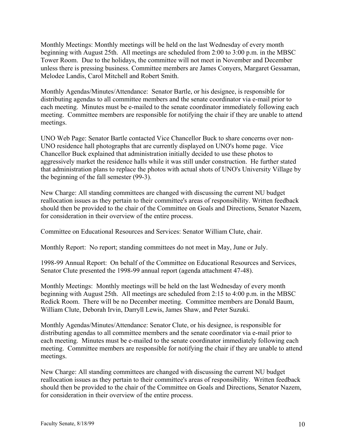Monthly Meetings: Monthly meetings will be held on the last Wednesday of every month beginning with August 25th. All meetings are scheduled from 2:00 to 3:00 p.m. in the MBSC Tower Room. Due to the holidays, the committee will not meet in November and December unless there is pressing business. Committee members are James Conyers, Margaret Gessaman, Melodee Landis, Carol Mitchell and Robert Smith.

Monthly Agendas/Minutes/Attendance: Senator Bartle, or his designee, is responsible for distributing agendas to all committee members and the senate coordinator via e-mail prior to each meeting. Minutes must be e-mailed to the senate coordinator immediately following each meeting. Committee members are responsible for notifying the chair if they are unable to attend meetings.

UNO Web Page: Senator Bartle contacted Vice Chancellor Buck to share concerns over non-UNO residence hall photographs that are currently displayed on UNO's home page. Vice Chancellor Buck explained that administration initially decided to use these photos to aggressively market the residence halls while it was still under construction. He further stated that administration plans to replace the photos with actual shots of UNO's University Village by the beginning of the fall semester (99-3).

New Charge: All standing committees are changed with discussing the current NU budget reallocation issues as they pertain to their committee's areas of responsibility. Written feedback should then be provided to the chair of the Committee on Goals and Directions, Senator Nazem, for consideration in their overview of the entire process.

Committee on Educational Resources and Services: Senator William Clute, chair.

Monthly Report: No report; standing committees do not meet in May, June or July.

1998-99 Annual Report: On behalf of the Committee on Educational Resources and Services, Senator Clute presented the 1998-99 annual report (agenda attachment 47-48).

Monthly Meetings: Monthly meetings will be held on the last Wednesday of every month beginning with August 25th. All meetings are scheduled from 2:15 to 4:00 p.m. in the MBSC Redick Room. There will be no December meeting. Committee members are Donald Baum, William Clute, Deborah Irvin, Darryll Lewis, James Shaw, and Peter Suzuki.

Monthly Agendas/Minutes/Attendance: Senator Clute, or his designee, is responsible for distributing agendas to all committee members and the senate coordinator via e-mail prior to each meeting. Minutes must be e-mailed to the senate coordinator immediately following each meeting. Committee members are responsible for notifying the chair if they are unable to attend meetings.

New Charge: All standing committees are changed with discussing the current NU budget reallocation issues as they pertain to their committee's areas of responsibility. Written feedback should then be provided to the chair of the Committee on Goals and Directions, Senator Nazem, for consideration in their overview of the entire process.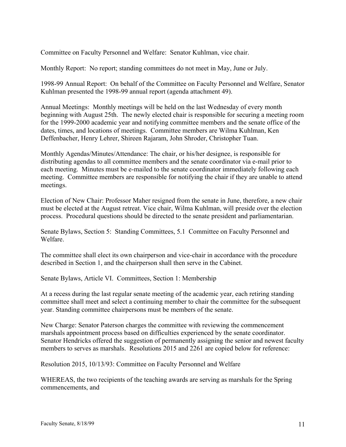Committee on Faculty Personnel and Welfare: Senator Kuhlman, vice chair.

Monthly Report: No report; standing committees do not meet in May, June or July.

1998-99 Annual Report: On behalf of the Committee on Faculty Personnel and Welfare, Senator Kuhlman presented the 1998-99 annual report (agenda attachment 49).

Annual Meetings: Monthly meetings will be held on the last Wednesday of every month beginning with August 25th. The newly elected chair is responsible for securing a meeting room for the 1999-2000 academic year and notifying committee members and the senate office of the dates, times, and locations of meetings. Committee members are Wilma Kuhlman, Ken Deffenbacher, Henry Lehrer, Shireen Rajaram, John Shroder, Christopher Tuan.

Monthly Agendas/Minutes/Attendance: The chair, or his/her designee, is responsible for distributing agendas to all committee members and the senate coordinator via e-mail prior to each meeting. Minutes must be e-mailed to the senate coordinator immediately following each meeting. Committee members are responsible for notifying the chair if they are unable to attend meetings.

Election of New Chair: Professor Maher resigned from the senate in June, therefore, a new chair must be elected at the August retreat. Vice chair, Wilma Kuhlman, will preside over the election process. Procedural questions should be directed to the senate president and parliamentarian.

Senate Bylaws, Section 5: Standing Committees, 5.1 Committee on Faculty Personnel and Welfare.

The committee shall elect its own chairperson and vice-chair in accordance with the procedure described in Section 1, and the chairperson shall then serve in the Cabinet.

Senate Bylaws, Article VI. Committees, Section 1: Membership

At a recess during the last regular senate meeting of the academic year, each retiring standing committee shall meet and select a continuing member to chair the committee for the subsequent year. Standing committee chairpersons must be members of the senate.

New Charge: Senator Paterson charges the committee with reviewing the commencement marshals appointment process based on difficulties experienced by the senate coordinator. Senator Hendricks offered the suggestion of permanently assigning the senior and newest faculty members to serves as marshals. Resolutions 2015 and 2261 are copied below for reference:

Resolution 2015, 10/13/93: Committee on Faculty Personnel and Welfare

WHEREAS, the two recipients of the teaching awards are serving as marshals for the Spring commencements, and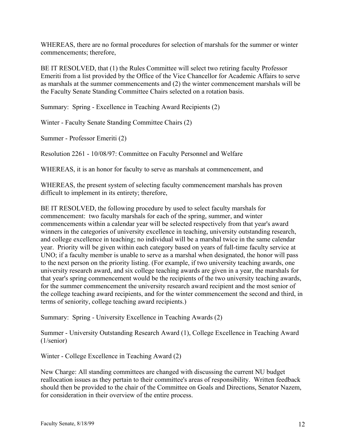WHEREAS, there are no formal procedures for selection of marshals for the summer or winter commencements; therefore,

BE IT RESOLVED, that (1) the Rules Committee will select two retiring faculty Professor Emeriti from a list provided by the Office of the Vice Chancellor for Academic Affairs to serve as marshals at the summer commencements and (2) the winter commencement marshals will be the Faculty Senate Standing Committee Chairs selected on a rotation basis.

Summary: Spring - Excellence in Teaching Award Recipients (2)

Winter - Faculty Senate Standing Committee Chairs (2)

Summer - Professor Emeriti (2)

Resolution 2261 - 10/08/97: Committee on Faculty Personnel and Welfare

WHEREAS, it is an honor for faculty to serve as marshals at commencement, and

WHEREAS, the present system of selecting faculty commencement marshals has proven difficult to implement in its entirety; therefore,

BE IT RESOLVED, the following procedure by used to select faculty marshals for commencement: two faculty marshals for each of the spring, summer, and winter commencements within a calendar year will be selected respectively from that year's award winners in the categories of university excellence in teaching, university outstanding research, and college excellence in teaching; no individual will be a marshal twice in the same calendar year. Priority will be given within each category based on years of full-time faculty service at UNO; if a faculty member is unable to serve as a marshal when designated, the honor will pass to the next person on the priority listing. (For example, if two university teaching awards, one university research award, and six college teaching awards are given in a year, the marshals for that year's spring commencement would be the recipients of the two university teaching awards, for the summer commencement the university research award recipient and the most senior of the college teaching award recipients, and for the winter commencement the second and third, in terms of seniority, college teaching award recipients.)

Summary: Spring - University Excellence in Teaching Awards (2)

Summer - University Outstanding Research Award (1), College Excellence in Teaching Award (1/senior)

Winter - College Excellence in Teaching Award (2)

New Charge: All standing committees are changed with discussing the current NU budget reallocation issues as they pertain to their committee's areas of responsibility. Written feedback should then be provided to the chair of the Committee on Goals and Directions, Senator Nazem, for consideration in their overview of the entire process.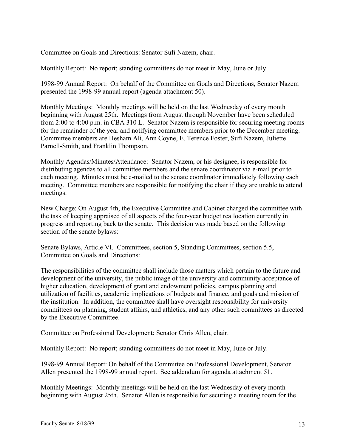Committee on Goals and Directions: Senator Sufi Nazem, chair.

Monthly Report: No report; standing committees do not meet in May, June or July.

1998-99 Annual Report: On behalf of the Committee on Goals and Directions, Senator Nazem presented the 1998-99 annual report (agenda attachment 50).

Monthly Meetings: Monthly meetings will be held on the last Wednesday of every month beginning with August 25th. Meetings from August through November have been scheduled from 2:00 to 4:00 p.m. in CBA 310 L. Senator Nazem is responsible for securing meeting rooms for the remainder of the year and notifying committee members prior to the December meeting. Committee members are Hesham Ali, Ann Coyne, E. Terence Foster, Sufi Nazem, Juliette Parnell-Smith, and Franklin Thompson.

Monthly Agendas/Minutes/Attendance: Senator Nazem, or his designee, is responsible for distributing agendas to all committee members and the senate coordinator via e-mail prior to each meeting. Minutes must be e-mailed to the senate coordinator immediately following each meeting. Committee members are responsible for notifying the chair if they are unable to attend meetings.

New Charge: On August 4th, the Executive Committee and Cabinet charged the committee with the task of keeping appraised of all aspects of the four-year budget reallocation currently in progress and reporting back to the senate. This decision was made based on the following section of the senate bylaws:

Senate Bylaws, Article VI. Committees, section 5, Standing Committees, section 5.5, Committee on Goals and Directions:

The responsibilities of the committee shall include those matters which pertain to the future and development of the university, the public image of the university and community acceptance of higher education, development of grant and endowment policies, campus planning and utilization of facilities, academic implications of budgets and finance, and goals and mission of the institution. In addition, the committee shall have oversight responsibility for university committees on planning, student affairs, and athletics, and any other such committees as directed by the Executive Committee.

Committee on Professional Development: Senator Chris Allen, chair.

Monthly Report: No report; standing committees do not meet in May, June or July.

1998-99 Annual Report: On behalf of the Committee on Professional Development, Senator Allen presented the 1998-99 annual report. See addendum for agenda attachment 51.

Monthly Meetings: Monthly meetings will be held on the last Wednesday of every month beginning with August 25th. Senator Allen is responsible for securing a meeting room for the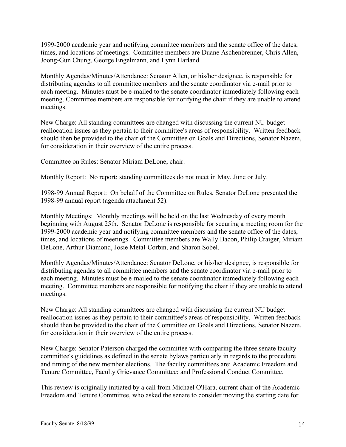1999-2000 academic year and notifying committee members and the senate office of the dates, times, and locations of meetings. Committee members are Duane Aschenbrenner, Chris Allen, Joong-Gun Chung, George Engelmann, and Lynn Harland.

Monthly Agendas/Minutes/Attendance: Senator Allen, or his/her designee, is responsible for distributing agendas to all committee members and the senate coordinator via e-mail prior to each meeting. Minutes must be e-mailed to the senate coordinator immediately following each meeting. Committee members are responsible for notifying the chair if they are unable to attend meetings.

New Charge: All standing committees are changed with discussing the current NU budget reallocation issues as they pertain to their committee's areas of responsibility. Written feedback should then be provided to the chair of the Committee on Goals and Directions, Senator Nazem, for consideration in their overview of the entire process.

Committee on Rules: Senator Miriam DeLone, chair.

Monthly Report: No report; standing committees do not meet in May, June or July.

1998-99 Annual Report: On behalf of the Committee on Rules, Senator DeLone presented the 1998-99 annual report (agenda attachment 52).

Monthly Meetings: Monthly meetings will be held on the last Wednesday of every month beginning with August 25th. Senator DeLone is responsible for securing a meeting room for the 1999-2000 academic year and notifying committee members and the senate office of the dates, times, and locations of meetings. Committee members are Wally Bacon, Philip Craiger, Miriam DeLone, Arthur Diamond, Josie Metal-Corbin, and Sharon Sobel.

Monthly Agendas/Minutes/Attendance: Senator DeLone, or his/her designee, is responsible for distributing agendas to all committee members and the senate coordinator via e-mail prior to each meeting. Minutes must be e-mailed to the senate coordinator immediately following each meeting. Committee members are responsible for notifying the chair if they are unable to attend meetings.

New Charge: All standing committees are changed with discussing the current NU budget reallocation issues as they pertain to their committee's areas of responsibility. Written feedback should then be provided to the chair of the Committee on Goals and Directions, Senator Nazem, for consideration in their overview of the entire process.

New Charge: Senator Paterson charged the committee with comparing the three senate faculty committee's guidelines as defined in the senate bylaws particularly in regards to the procedure and timing of the new member elections. The faculty committees are: Academic Freedom and Tenure Committee, Faculty Grievance Committee; and Professional Conduct Committee.

This review is originally initiated by a call from Michael O'Hara, current chair of the Academic Freedom and Tenure Committee, who asked the senate to consider moving the starting date for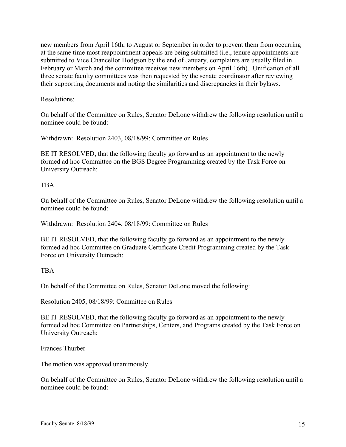new members from April 16th, to August or September in order to prevent them from occurring at the same time most reappointment appeals are being submitted (i.e., tenure appointments are submitted to Vice Chancellor Hodgson by the end of January, complaints are usually filed in February or March and the committee receives new members on April 16th). Unification of all three senate faculty committees was then requested by the senate coordinator after reviewing their supporting documents and noting the similarities and discrepancies in their bylaws.

### Resolutions:

On behalf of the Committee on Rules, Senator DeLone withdrew the following resolution until a nominee could be found:

Withdrawn: Resolution 2403, 08/18/99: Committee on Rules

BE IT RESOLVED, that the following faculty go forward as an appointment to the newly formed ad hoc Committee on the BGS Degree Programming created by the Task Force on University Outreach:

## TBA

On behalf of the Committee on Rules, Senator DeLone withdrew the following resolution until a nominee could be found:

Withdrawn: Resolution 2404, 08/18/99: Committee on Rules

BE IT RESOLVED, that the following faculty go forward as an appointment to the newly formed ad hoc Committee on Graduate Certificate Credit Programming created by the Task Force on University Outreach:

#### **TRA**

On behalf of the Committee on Rules, Senator DeLone moved the following:

Resolution 2405, 08/18/99: Committee on Rules

BE IT RESOLVED, that the following faculty go forward as an appointment to the newly formed ad hoc Committee on Partnerships, Centers, and Programs created by the Task Force on University Outreach:

Frances Thurber

The motion was approved unanimously.

On behalf of the Committee on Rules, Senator DeLone withdrew the following resolution until a nominee could be found: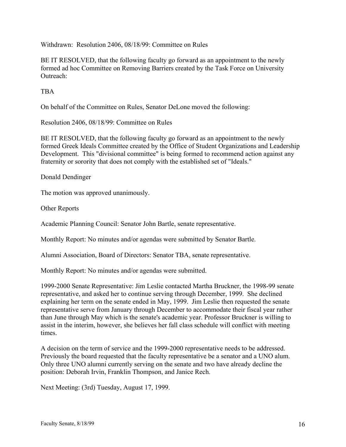Withdrawn: Resolution 2406, 08/18/99: Committee on Rules

BE IT RESOLVED, that the following faculty go forward as an appointment to the newly formed ad hoc Committee on Removing Barriers created by the Task Force on University Outreach:

**TBA** 

On behalf of the Committee on Rules, Senator DeLone moved the following:

Resolution 2406, 08/18/99: Committee on Rules

BE IT RESOLVED, that the following faculty go forward as an appointment to the newly formed Greek Ideals Committee created by the Office of Student Organizations and Leadership Development. This "divisional committee" is being formed to recommend action against any fraternity or sorority that does not comply with the established set of "Ideals."

Donald Dendinger

The motion was approved unanimously.

Other Reports

Academic Planning Council: Senator John Bartle, senate representative.

Monthly Report: No minutes and/or agendas were submitted by Senator Bartle.

Alumni Association, Board of Directors: Senator TBA, senate representative.

Monthly Report: No minutes and/or agendas were submitted.

1999-2000 Senate Representative: Jim Leslie contacted Martha Bruckner, the 1998-99 senate representative, and asked her to continue serving through December, 1999. She declined explaining her term on the senate ended in May, 1999. Jim Leslie then requested the senate representative serve from January through December to accommodate their fiscal year rather than June through May which is the senate's academic year. Professor Bruckner is willing to assist in the interim, however, she believes her fall class schedule will conflict with meeting times.

A decision on the term of service and the 1999-2000 representative needs to be addressed. Previously the board requested that the faculty representative be a senator and a UNO alum. Only three UNO alumni currently serving on the senate and two have already decline the position: Deborah Irvin, Franklin Thompson, and Janice Rech.

Next Meeting: (3rd) Tuesday, August 17, 1999.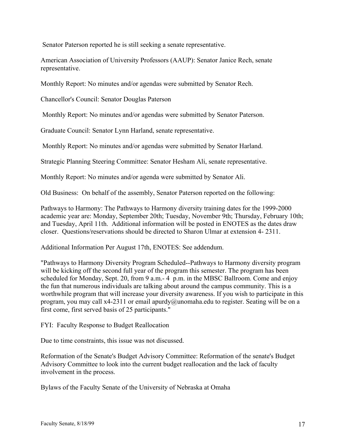Senator Paterson reported he is still seeking a senate representative.

American Association of University Professors (AAUP): Senator Janice Rech, senate representative.

Monthly Report: No minutes and/or agendas were submitted by Senator Rech.

Chancellor's Council: Senator Douglas Paterson

Monthly Report: No minutes and/or agendas were submitted by Senator Paterson.

Graduate Council: Senator Lynn Harland, senate representative.

Monthly Report: No minutes and/or agendas were submitted by Senator Harland.

Strategic Planning Steering Committee: Senator Hesham Ali, senate representative.

Monthly Report: No minutes and/or agenda were submitted by Senator Ali.

Old Business: On behalf of the assembly, Senator Paterson reported on the following:

Pathways to Harmony: The Pathways to Harmony diversity training dates for the 1999-2000 academic year are: Monday, September 20th; Tuesday, November 9th; Thursday, February 10th; and Tuesday, April 11th. Additional information will be posted in ENOTES as the dates draw closer. Questions/reservations should be directed to Sharon Ulmar at extension 4- 2311.

Additional Information Per August 17th, ENOTES: See addendum.

"Pathways to Harmony Diversity Program Scheduled--Pathways to Harmony diversity program will be kicking off the second full year of the program this semester. The program has been scheduled for Monday, Sept. 20, from 9 a.m.- 4 p.m. in the MBSC Ballroom. Come and enjoy the fun that numerous individuals are talking about around the campus community. This is a worthwhile program that will increase your diversity awareness. If you wish to participate in this program, you may call x4-2311 or email apurdy@unomaha.edu to register. Seating will be on a first come, first served basis of 25 participants."

FYI: Faculty Response to Budget Reallocation

Due to time constraints, this issue was not discussed.

Reformation of the Senate's Budget Advisory Committee: Reformation of the senate's Budget Advisory Committee to look into the current budget reallocation and the lack of faculty involvement in the process.

Bylaws of the Faculty Senate of the University of Nebraska at Omaha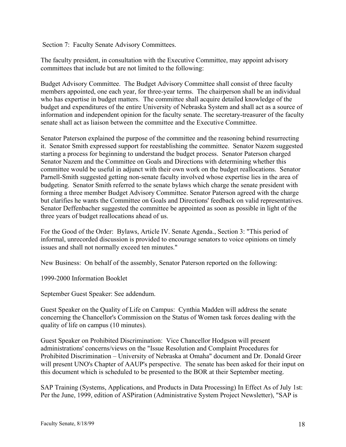Section 7: Faculty Senate Advisory Committees.

The faculty president, in consultation with the Executive Committee, may appoint advisory committees that include but are not limited to the following:

Budget Advisory Committee. The Budget Advisory Committee shall consist of three faculty members appointed, one each year, for three-year terms. The chairperson shall be an individual who has expertise in budget matters. The committee shall acquire detailed knowledge of the budget and expenditures of the entire University of Nebraska System and shall act as a source of information and independent opinion for the faculty senate. The secretary-treasurer of the faculty senate shall act as liaison between the committee and the Executive Committee.

Senator Paterson explained the purpose of the committee and the reasoning behind resurrecting it. Senator Smith expressed support for reestablishing the committee. Senator Nazem suggested starting a process for beginning to understand the budget process. Senator Paterson charged Senator Nazem and the Committee on Goals and Directions with determining whether this committee would be useful in adjunct with their own work on the budget reallocations. Senator Parnell-Smith suggested getting non-senate faculty involved whose expertise lies in the area of budgeting. Senator Smith referred to the senate bylaws which charge the senate president with forming a three member Budget Advisory Committee. Senator Paterson agreed with the charge but clarifies he wants the Committee on Goals and Directions' feedback on valid representatives. Senator Deffenbacher suggested the committee be appointed as soon as possible in light of the three years of budget reallocations ahead of us.

For the Good of the Order: Bylaws, Article IV. Senate Agenda., Section 3: "This period of informal, unrecorded discussion is provided to encourage senators to voice opinions on timely issues and shall not normally exceed ten minutes."

New Business: On behalf of the assembly, Senator Paterson reported on the following:

1999-2000 Information Booklet

September Guest Speaker: See addendum.

Guest Speaker on the Quality of Life on Campus: Cynthia Madden will address the senate concerning the Chancellor's Commission on the Status of Women task forces dealing with the quality of life on campus (10 minutes).

Guest Speaker on Prohibited Discrimination: Vice Chancellor Hodgson will present administrations' concerns/views on the "Issue Resolution and Complaint Procedures for Prohibited Discrimination – University of Nebraska at Omaha" document and Dr. Donald Greer will present UNO's Chapter of AAUP's perspective. The senate has been asked for their input on this document which is scheduled to be presented to the BOR at their September meeting.

SAP Training (Systems, Applications, and Products in Data Processing) In Effect As of July 1st: Per the June, 1999, edition of ASPiration (Administrative System Project Newsletter), "SAP is